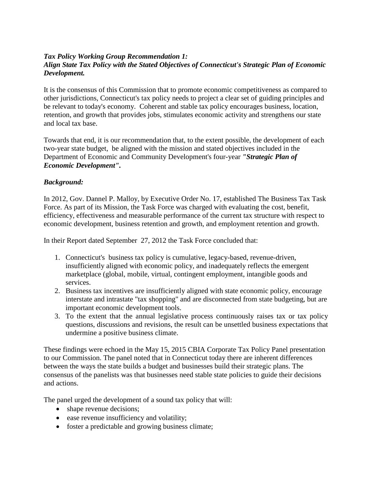## *Tax Policy Working Group Recommendation 1: Align State Tax Policy with the Stated Objectives of Connecticut's Strategic Plan of Economic Development.*

It is the consensus of this Commission that to promote economic competitiveness as compared to other jurisdictions, Connecticut's tax policy needs to project a clear set of guiding principles and be relevant to today's economy. Coherent and stable tax policy encourages business, location, retention, and growth that provides jobs, stimulates economic activity and strengthens our state and local tax base.

Towards that end, it is our recommendation that, to the extent possible, the development of each two-year state budget, be aligned with the mission and stated objectives included in the Department of Economic and Community Development's four-year *"Strategic Plan of Economic Development".*

## *Background:*

In 2012, Gov. Dannel P. Malloy, by Executive Order No. 17, established The Business Tax Task Force. As part of its Mission, the Task Force was charged with evaluating the cost, benefit, efficiency, effectiveness and measurable performance of the current tax structure with respect to economic development, business retention and growth, and employment retention and growth.

In their Report dated September 27, 2012 the Task Force concluded that:

- 1. Connecticut's business tax policy is cumulative, legacy-based, revenue-driven, insufficiently aligned with economic policy, and inadequately reflects the emergent marketplace (global, mobile, virtual, contingent employment, intangible goods and services.
- 2. Business tax incentives are insufficiently aligned with state economic policy, encourage interstate and intrastate "tax shopping" and are disconnected from state budgeting, but are important economic development tools.
- 3. To the extent that the annual legislative process continuously raises tax or tax policy questions, discussions and revisions, the result can be unsettled business expectations that undermine a positive business climate.

These findings were echoed in the May 15, 2015 CBIA Corporate Tax Policy Panel presentation to our Commission. The panel noted that in Connecticut today there are inherent differences between the ways the state builds a budget and businesses build their strategic plans. The consensus of the panelists was that businesses need stable state policies to guide their decisions and actions.

The panel urged the development of a sound tax policy that will:

- shape revenue decisions;
- ease revenue insufficiency and volatility;
- foster a predictable and growing business climate;